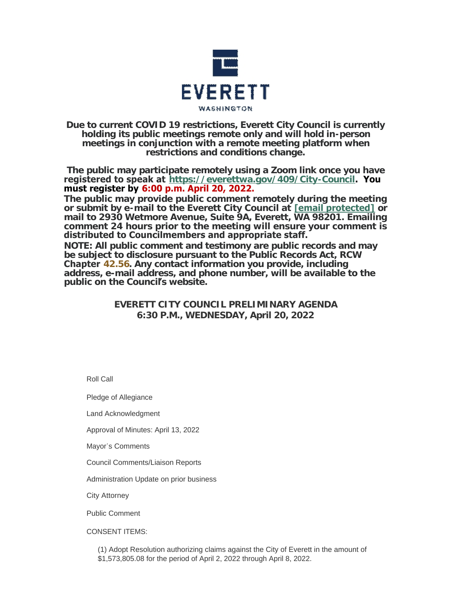

### **Due to current COVID 19 restrictions, Everett City Council is currently holding its public meetings remote only and will hold in-person meetings in conjunction with a remote meeting platform when restrictions and conditions change.**

**The public may participate remotely using a Zoom link once you have registered to speak at <https://everettwa.gov/409/City-Council>. You must register by 6:00 p.m. April 20, 2022.** 

**The public may provide public comment remotely during the meeting or submit by e-mail to the Everett City Council at [\[email protected\]](https://www.everettwa.gov/cdn-cgi/l/email-protection) or mail to 2930 Wetmore Avenue, Suite 9A, Everett, WA 98201. Emailing comment 24 hours prior to the meeting will ensure your comment is distributed to Councilmembers and appropriate staff.** 

*NOTE: All public comment and testimony are public records and may be subject to disclosure pursuant to the Public Records Act, RCW*  **Chapter** *[42.56](https://apps.leg.wa.gov/rcw/default.aspx?cite=42.56). Any contact information you provide, including address, e-mail address, and phone number, will be available to the public on the Council***'***s website.*

# **EVERETT CITY COUNCIL PRELIMINARY AGENDA 6:30 P.M., WEDNESDAY, April 20, 2022**

Roll Call

Pledge of Allegiance

Land Acknowledgment

Approval of Minutes: April 13, 2022

Mayor's Comments

Council Comments/Liaison Reports

Administration Update on prior business

City Attorney

Public Comment

CONSENT ITEMS:

(1) Adopt Resolution authorizing claims against the City of Everett in the amount of \$1,573,805.08 for the period of April 2, 2022 through April 8, 2022.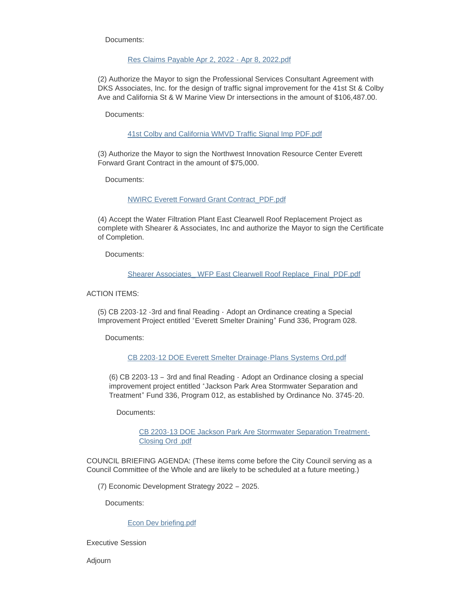Documents:

#### [Res Claims Payable Apr 2, 2022 - Apr 8, 2022.pdf](https://www.everettwa.gov/AgendaCenter/ViewFile/Item/13620?fileID=80787)

(2) Authorize the Mayor to sign the Professional Services Consultant Agreement with DKS Associates, Inc. for the design of traffic signal improvement for the 41st St & Colby Ave and California St & W Marine View Dr intersections in the amount of \$106,487.00.

Documents:

#### [41st Colby and California WMVD Traffic Signal Imp PDF.pdf](https://www.everettwa.gov/AgendaCenter/ViewFile/Item/13621?fileID=80788)

(3) Authorize the Mayor to sign the Northwest Innovation Resource Center Everett Forward Grant Contract in the amount of \$75,000.

Documents:

[NWIRC Everett Forward Grant Contract\\_PDF.pdf](https://www.everettwa.gov/AgendaCenter/ViewFile/Item/13622?fileID=80789)

(4) Accept the Water Filtration Plant East Clearwell Roof Replacement Project as complete with Shearer & Associates, Inc and authorize the Mayor to sign the Certificate of Completion.

Documents:

[Shearer Associates\\_ WFP East Clearwell Roof Replace\\_Final\\_PDF.pdf](https://www.everettwa.gov/AgendaCenter/ViewFile/Item/13623?fileID=80790)

### ACTION ITEMS:

(5) CB 2203-12 -3rd and final Reading - Adopt an Ordinance creating a Special Improvement Project entitled "Everett Smelter Draining" Fund 336, Program 028.

Documents:

[CB 2203-12 DOE Everett Smelter Drainage-Plans Systems Ord.pdf](https://www.everettwa.gov/AgendaCenter/ViewFile/Item/13624?fileID=80791)

(6) CB 2203-13 – 3rd and final Reading - Adopt an Ordinance closing a special improvement project entitled "Jackson Park Area Stormwater Separation and Treatment" Fund 336, Program 012, as established by Ordinance No. 3745-20.

Documents:

[CB 2203-13 DOE Jackson Park Are Stormwater Separation Treatment-](https://www.everettwa.gov/AgendaCenter/ViewFile/Item/13625?fileID=80792)Closing Ord .pdf

COUNCIL BRIEFING AGENDA: (These items come before the City Council serving as a Council Committee of the Whole and are likely to be scheduled at a future meeting.)

(7) Economic Development Strategy 2022 – 2025.

Documents:

[Econ Dev briefing.pdf](https://www.everettwa.gov/AgendaCenter/ViewFile/Item/13626?fileID=80793)

Executive Session

Adjourn